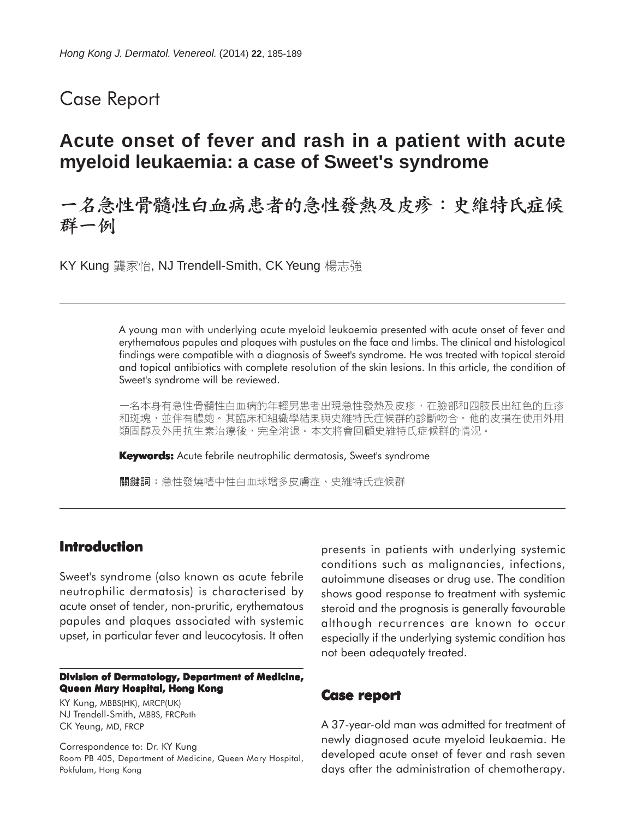## Case Report

## **Acute onset of fever and rash in a patient with acute myeloid leukaemia: a case of Sweet's syndrome**

# 一名急性骨髓性白血病患者的急性發熱及皮疹:史維特氏症候 群一例

KY Kung 龔家怡, NJ Trendell-Smith, CK Yeung 楊志強

A young man with underlying acute myeloid leukaemia presented with acute onset of fever and erythematous papules and plaques with pustules on the face and limbs. The clinical and histological findings were compatible with a diagnosis of Sweet's syndrome. He was treated with topical steroid and topical antibiotics with complete resolution of the skin lesions. In this article, the condition of Sweet's syndrome will be reviewed.

一名本身有急性骨髓性白血病的年輕男患者出現急性發熱及皮疹,在臉部和四肢長出紅色的丘疹 和斑塊,並伴有膿皰。其臨床和組織學結果與史維特氏症候群的診斷吻合。他的皮損在使用外用 類固醇及外用抗生素治療後,完全消退。本文將會回顧史維特氏症候群的情況。

**Keywords:** Acute febrile neutrophilic dermatosis, Sweet's syndrome

關鍵詞:急性發燒嗜中性白血球增多皮膚症、史維特氏症候群

### **Introduction**

Sweet's syndrome (also known as acute febrile neutrophilic dermatosis) is characterised by acute onset of tender, non-pruritic, erythematous papules and plaques associated with systemic upset, in particular fever and leucocytosis. It often

#### **Division of Dermatology, Department of Medicine, Queen Mary Hospital, Hong Kong**

KY Kung, MBBS(HK), MRCP(UK) NJ Trendell-Smith, MBBS, FRCPath CK Yeung, MD, FRCP

Correspondence to: Dr. KY Kung Room PB 405, Department of Medicine, Queen Mary Hospital, Pokfulam, Hong Kong

presents in patients with underlying systemic conditions such as malignancies, infections, autoimmune diseases or drug use. The condition shows good response to treatment with systemic steroid and the prognosis is generally favourable although recurrences are known to occur especially if the underlying systemic condition has not been adequately treated.

### **Case report**

A 37-year-old man was admitted for treatment of newly diagnosed acute myeloid leukaemia. He developed acute onset of fever and rash seven days after the administration of chemotherapy.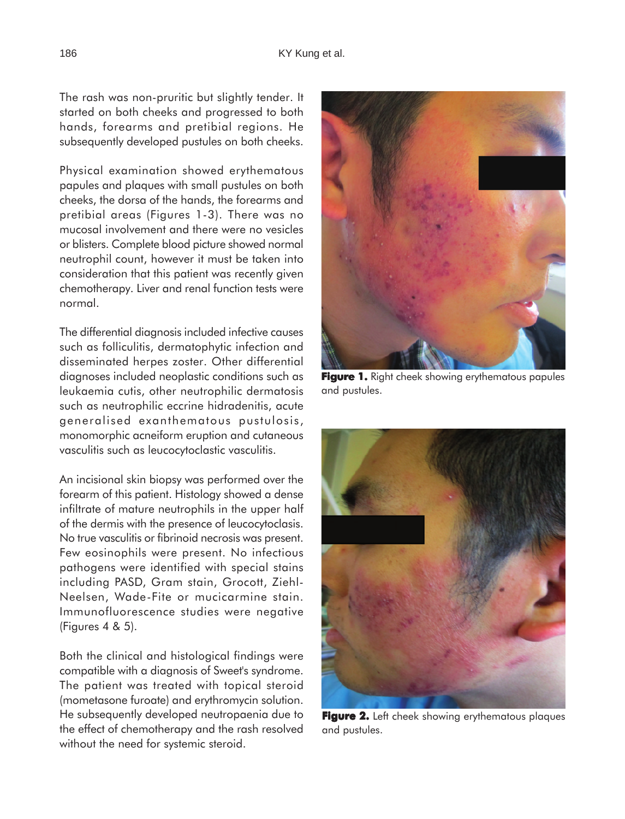The rash was non-pruritic but slightly tender. It started on both cheeks and progressed to both hands, forearms and pretibial regions. He subsequently developed pustules on both cheeks.

Physical examination showed erythematous papules and plaques with small pustules on both cheeks, the dorsa of the hands, the forearms and pretibial areas (Figures 1-3). There was no mucosal involvement and there were no vesicles or blisters. Complete blood picture showed normal neutrophil count, however it must be taken into consideration that this patient was recently given chemotherapy. Liver and renal function tests were normal.

The differential diagnosis included infective causes such as folliculitis, dermatophytic infection and disseminated herpes zoster. Other differential diagnoses included neoplastic conditions such as leukaemia cutis, other neutrophilic dermatosis such as neutrophilic eccrine hidradenitis, acute generalised exanthematous pustulosis, monomorphic acneiform eruption and cutaneous vasculitis such as leucocytoclastic vasculitis.

An incisional skin biopsy was performed over the forearm of this patient. Histology showed a dense infiltrate of mature neutrophils in the upper half of the dermis with the presence of leucocytoclasis. No true vasculitis or fibrinoid necrosis was present. Few eosinophils were present. No infectious pathogens were identified with special stains including PASD, Gram stain, Grocott, Ziehl-Neelsen, Wade-Fite or mucicarmine stain. Immunofluorescence studies were negative (Figures 4 & 5).

Both the clinical and histological findings were compatible with a diagnosis of Sweet's syndrome. The patient was treated with topical steroid (mometasone furoate) and erythromycin solution. He subsequently developed neutropaenia due to the effect of chemotherapy and the rash resolved without the need for systemic steroid.



Figure 1. Right cheek showing erythematous papules and pustules.



Figure 2. Left cheek showing erythematous plaques and pustules.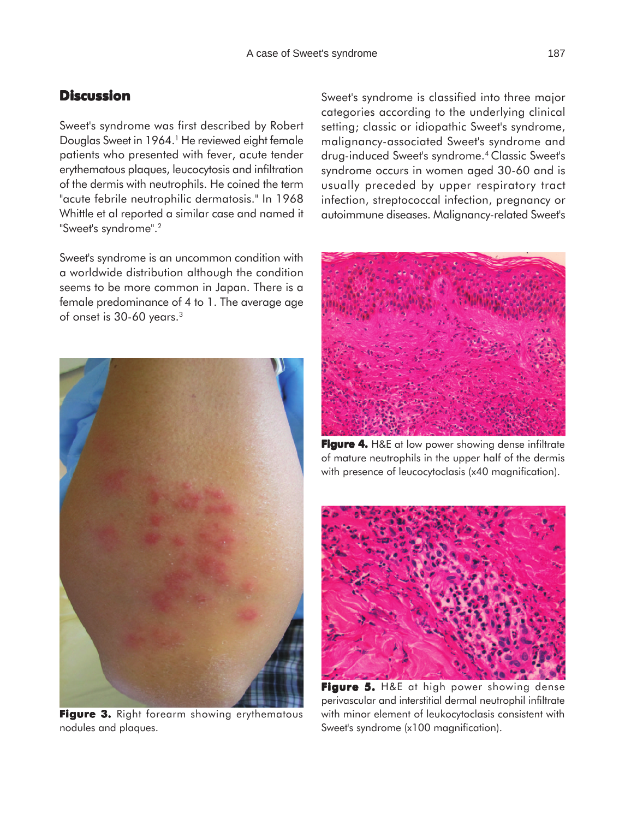## **Discussion**

Sweet's syndrome was first described by Robert Douglas Sweet in 1964.<sup>1</sup> He reviewed eight female patients who presented with fever, acute tender erythematous plaques, leucocytosis and infiltration of the dermis with neutrophils. He coined the term "acute febrile neutrophilic dermatosis." In 1968 Whittle et al reported a similar case and named it "Sweet's syndrome".2

Sweet's syndrome is an uncommon condition with a worldwide distribution although the condition seems to be more common in Japan. There is a female predominance of 4 to 1. The average age of onset is 30-60 years.3



**Figure 3.** Right forearm showing erythematous nodules and plaques.

Sweet's syndrome is classified into three major categories according to the underlying clinical setting; classic or idiopathic Sweet's syndrome, malignancy-associated Sweet's syndrome and drug-induced Sweet's syndrome.4 Classic Sweet's syndrome occurs in women aged 30-60 and is usually preceded by upper respiratory tract infection, streptococcal infection, pregnancy or autoimmune diseases. Malignancy-related Sweet's



**Figure 4.** H&E at low power showing dense infiltrate of mature neutrophils in the upper half of the dermis with presence of leucocytoclasis (x40 magnification).



Figure 5. H&E at high power showing dense perivascular and interstitial dermal neutrophil infiltrate with minor element of leukocytoclasis consistent with Sweet's syndrome (x100 magnification).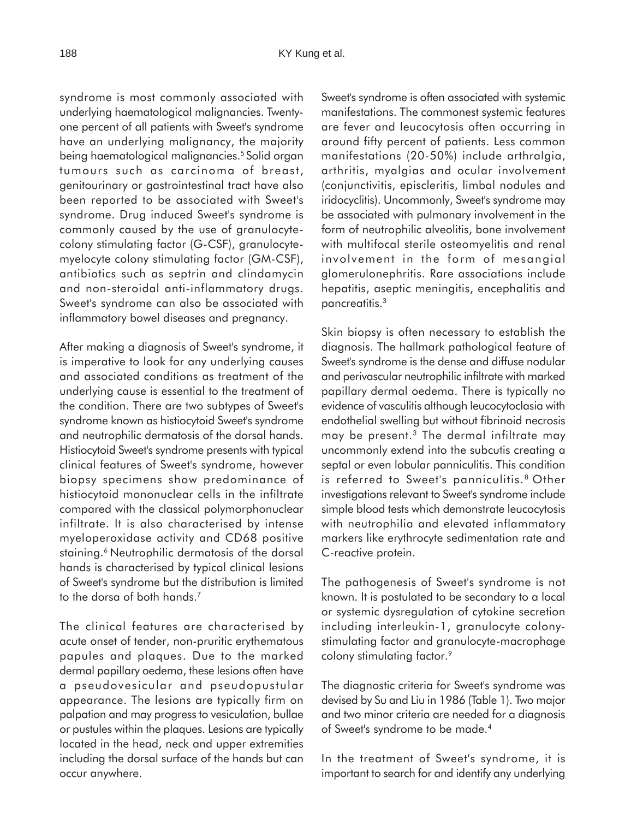syndrome is most commonly associated with underlying haematological malignancies. Twentyone percent of all patients with Sweet's syndrome have an underlying malignancy, the majority being haematological malignancies.<sup>5</sup> Solid organ tumours such as carcinoma of breast, genitourinary or gastrointestinal tract have also been reported to be associated with Sweet's syndrome. Drug induced Sweet's syndrome is commonly caused by the use of granulocytecolony stimulating factor (G-CSF), granulocytemyelocyte colony stimulating factor (GM-CSF), antibiotics such as septrin and clindamycin and non-steroidal anti-inflammatory drugs. Sweet's syndrome can also be associated with inflammatory bowel diseases and pregnancy.

After making a diagnosis of Sweet's syndrome, it is imperative to look for any underlying causes and associated conditions as treatment of the underlying cause is essential to the treatment of the condition. There are two subtypes of Sweet's syndrome known as histiocytoid Sweet's syndrome and neutrophilic dermatosis of the dorsal hands. Histiocytoid Sweet's syndrome presents with typical clinical features of Sweet's syndrome, however biopsy specimens show predominance of histiocytoid mononuclear cells in the infiltrate compared with the classical polymorphonuclear infiltrate. It is also characterised by intense myeloperoxidase activity and CD68 positive staining.<sup>6</sup> Neutrophilic dermatosis of the dorsal hands is characterised by typical clinical lesions of Sweet's syndrome but the distribution is limited to the dorsa of both hands.<sup>7</sup>

The clinical features are characterised by acute onset of tender, non-pruritic erythematous papules and plaques. Due to the marked dermal papillary oedema, these lesions often have a pseudovesicular and pseudopustular appearance. The lesions are typically firm on palpation and may progress to vesiculation, bullae or pustules within the plaques. Lesions are typically located in the head, neck and upper extremities including the dorsal surface of the hands but can occur anywhere.

Sweet's syndrome is often associated with systemic manifestations. The commonest systemic features are fever and leucocytosis often occurring in around fifty percent of patients. Less common manifestations (20-50%) include arthralgia, arthritis, myalgias and ocular involvement (conjunctivitis, episcleritis, limbal nodules and iridocyclitis). Uncommonly, Sweet's syndrome may be associated with pulmonary involvement in the form of neutrophilic alveolitis, bone involvement with multifocal sterile osteomyelitis and renal involvement in the form of mesangial glomerulonephritis. Rare associations include hepatitis, aseptic meningitis, encephalitis and pancreatitis.3

Skin biopsy is often necessary to establish the diagnosis. The hallmark pathological feature of Sweet's syndrome is the dense and diffuse nodular and perivascular neutrophilic infiltrate with marked papillary dermal oedema. There is typically no evidence of vasculitis although leucocytoclasia with endothelial swelling but without fibrinoid necrosis may be present.3 The dermal infiltrate may uncommonly extend into the subcutis creating a septal or even lobular panniculitis. This condition is referred to Sweet's panniculitis.<sup>8</sup> Other investigations relevant to Sweet's syndrome include simple blood tests which demonstrate leucocytosis with neutrophilia and elevated inflammatory markers like erythrocyte sedimentation rate and C-reactive protein.

The pathogenesis of Sweet's syndrome is not known. It is postulated to be secondary to a local or systemic dysregulation of cytokine secretion including interleukin-1, granulocyte colonystimulating factor and granulocyte-macrophage colony stimulating factor.<sup>9</sup>

The diagnostic criteria for Sweet's syndrome was devised by Su and Liu in 1986 (Table 1). Two major and two minor criteria are needed for a diagnosis of Sweet's syndrome to be made.4

In the treatment of Sweet's syndrome, it is important to search for and identify any underlying